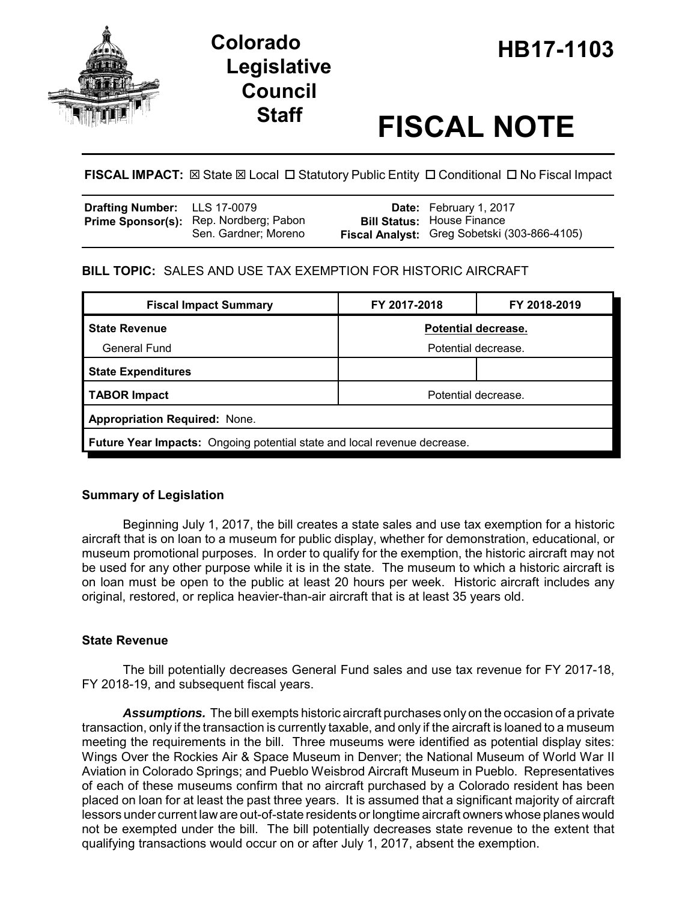

# **HB17-1103 Colorado Legislative Council**

# **Staff FISCAL NOTE**

# **FISCAL IMPACT:**  $\boxtimes$  **State**  $\boxtimes$  **Local □ Statutory Public Entity □ Conditional □ No Fiscal Impact**

| <b>Drafting Number:</b> LLS 17-0079 |                                                                | <b>Date:</b> February 1, 2017                                                     |
|-------------------------------------|----------------------------------------------------------------|-----------------------------------------------------------------------------------|
|                                     | Prime Sponsor(s): Rep. Nordberg; Pabon<br>Sen. Gardner; Moreno | <b>Bill Status:</b> House Finance<br>Fiscal Analyst: Greg Sobetski (303-866-4105) |

### **BILL TOPIC:** SALES AND USE TAX EXEMPTION FOR HISTORIC AIRCRAFT

| <b>Fiscal Impact Summary</b>                                                    | FY 2017-2018        | FY 2018-2019 |  |  |  |  |
|---------------------------------------------------------------------------------|---------------------|--------------|--|--|--|--|
| <b>State Revenue</b>                                                            | Potential decrease. |              |  |  |  |  |
| <b>General Fund</b>                                                             | Potential decrease. |              |  |  |  |  |
| <b>State Expenditures</b>                                                       |                     |              |  |  |  |  |
| <b>TABOR Impact</b>                                                             | Potential decrease. |              |  |  |  |  |
| <b>Appropriation Required: None.</b>                                            |                     |              |  |  |  |  |
| <b>Future Year Impacts:</b> Ongoing potential state and local revenue decrease. |                     |              |  |  |  |  |

# **Summary of Legislation**

Beginning July 1, 2017, the bill creates a state sales and use tax exemption for a historic aircraft that is on loan to a museum for public display, whether for demonstration, educational, or museum promotional purposes. In order to qualify for the exemption, the historic aircraft may not be used for any other purpose while it is in the state. The museum to which a historic aircraft is on loan must be open to the public at least 20 hours per week. Historic aircraft includes any original, restored, or replica heavier-than-air aircraft that is at least 35 years old.

# **State Revenue**

The bill potentially decreases General Fund sales and use tax revenue for FY 2017-18, FY 2018-19, and subsequent fiscal years.

*Assumptions.* The bill exempts historic aircraft purchases only on the occasion of a private transaction, only if the transaction is currently taxable, and only if the aircraft is loaned to a museum meeting the requirements in the bill. Three museums were identified as potential display sites: Wings Over the Rockies Air & Space Museum in Denver; the National Museum of World War II Aviation in Colorado Springs; and Pueblo Weisbrod Aircraft Museum in Pueblo. Representatives of each of these museums confirm that no aircraft purchased by a Colorado resident has been placed on loan for at least the past three years. It is assumed that a significant majority of aircraft lessors under current law are out-of-state residents or longtime aircraft owners whose planes would not be exempted under the bill. The bill potentially decreases state revenue to the extent that qualifying transactions would occur on or after July 1, 2017, absent the exemption.